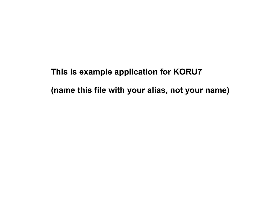**This is example application for KORU7 (name this file with your alias, not your name)**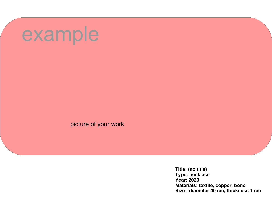picture of your work

**Title: (no title) Type: necklace Year: 2020 Materials: textile, copper, bone Size : diameter 40 cm, thickness 1 cm**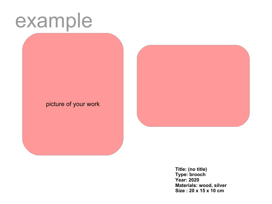picture of your work



**Title: (no title) Type: brooch Year: 2020 Materials: wood, silver Size : 20 x 15 x 10 cm**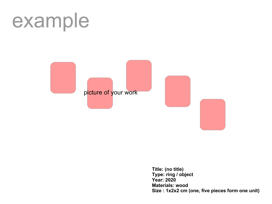

**Title: (no title) Type: ring / object Year: 2020 Materials: wood Size : 1x2x2 cm (one, five pieces form one unit)**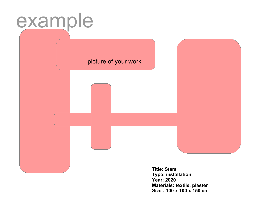picture of your work

**Title: Stars Type: installation Year: 2020 Materials: textile, plaster Size : 100 x 100 x 150 cm**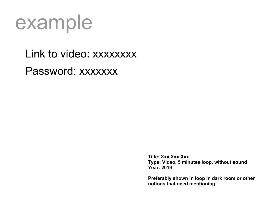Link to video: xxxxxxxx Password: xxxxxxx

> **Title: Xxx Xxx Xxx Type: Video, 5 minutes loop, without sound Year: 2019**

**Preferably shown in loop in dark room or other notions that need mentioning.**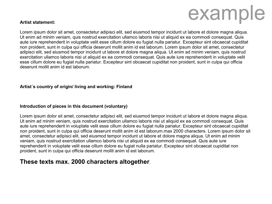### **Artist statement:**

Lorem ipsum dolor sit amet, consectetur adipisci elit, sed eiusmod tempor incidunt ut labore et dolore magna aliqua. Ut enim ad minim veniam, quis nostrud exercitation ullamco laboris nisi ut aliquid ex ea commodi consequat. Quis aute iure reprehenderit in voluptate velit esse cillum dolore eu fugiat nulla pariatur. Excepteur sint obcaecat cupiditat non proident, sunt in culpa qui officia deserunt mollit anim id est laborum. Lorem ipsum dolor sit amet, consectetur adipisci elit, sed eiusmod tempor incidunt ut labore et dolore magna aliqua. Ut enim ad minim veniam, quis nostrud exercitation ullamco laboris nisi ut aliquid ex ea commodi consequat. Quis aute iure reprehenderit in voluptate velit esse cillum dolore eu fugiat nulla pariatur. Excepteur sint obcaecat cupiditat non proident, sunt in culpa qui officia deserunt mollit anim id est laborum.

### **Artist´s country of origin/ living and working: Finland**

### **Introduction of pieces in this document (voluntary)**

Lorem ipsum dolor sit amet, consectetur adipisci elit, sed eiusmod tempor incidunt ut labore et dolore magna aliqua. Ut enim ad minim veniam, quis nostrud exercitation ullamco laboris nisi ut aliquid ex ea commodi consequat. Quis aute iure reprehenderit in voluptate velit esse cillum dolore eu fugiat nulla pariatur. Excepteur sint obcaecat cupiditat non proident, sunt in culpa qui officia deserunt mollit anim id est laborum.max 2000 characters. Lorem ipsum dolor sit amet, consectetur adipisci elit, sed eiusmod tempor incidunt ut labore et dolore magna aliqua. Ut enim ad minim veniam, quis nostrud exercitation ullamco laboris nisi ut aliquid ex ea commodi consequat. Quis aute iure reprehenderit in voluptate velit esse cillum dolore eu fugiat nulla pariatur. Excepteur sint obcaecat cupiditat non proident, sunt in culpa qui officia deserunt mollit anim id est laborum.

### **These texts max. 2000 characters altogether**.